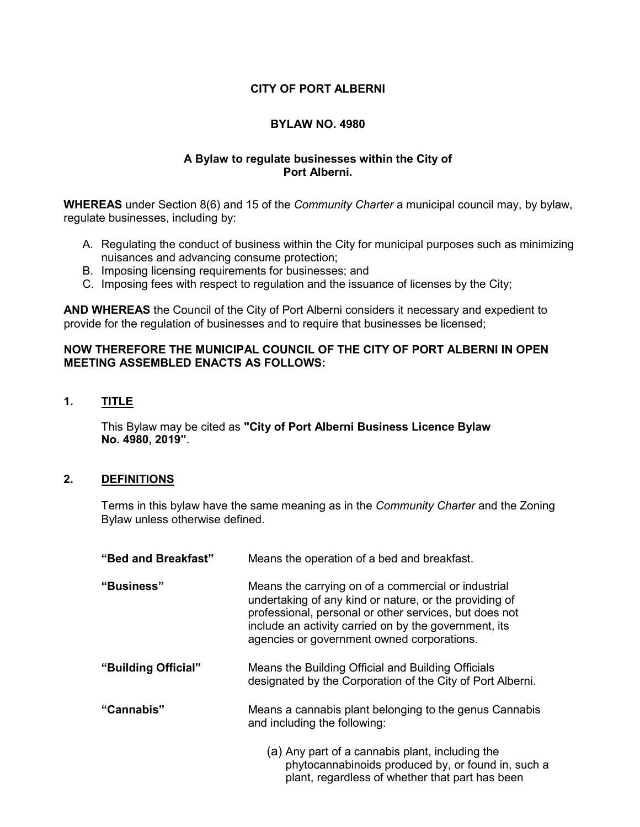## **CITY OF PORT ALBERNI**

## **BYLAW NO. 4980**

## **A Bylaw to regulate businesses within the City of Port Alberni.**

**WHEREAS** under Section 8(6) and 15 of the *Community Charter* a municipal council may, by bylaw, regulate businesses, including by:

- A. Regulating the conduct of business within the City for municipal purposes such as minimizing nuisances and advancing consume protection;
- B. Imposing licensing requirements for businesses; and
- C. Imposing fees with respect to regulation and the issuance of licenses by the City;

**AND WHEREAS** the Council of the City of Port Alberni considers it necessary and expedient to provide for the regulation of businesses and to require that businesses be licensed;

#### **NOW THEREFORE THE MUNICIPAL COUNCIL OF THE CITY OF PORT ALBERNI IN OPEN MEETING ASSEMBLED ENACTS AS FOLLOWS:**

**1. TITLE**

This Bylaw may be cited as **"City of Port Alberni Business Licence Bylaw No. 4980, 2019"**.

#### **2. DEFINITIONS**

Terms in this bylaw have the same meaning as in the *Community Charter* and the Zoning Bylaw unless otherwise defined.

| "Bed and Breakfast" | Means the operation of a bed and breakfast.                                                                                                                                                                                                                                    |  |
|---------------------|--------------------------------------------------------------------------------------------------------------------------------------------------------------------------------------------------------------------------------------------------------------------------------|--|
| "Business"          | Means the carrying on of a commercial or industrial<br>undertaking of any kind or nature, or the providing of<br>professional, personal or other services, but does not<br>include an activity carried on by the government, its<br>agencies or government owned corporations. |  |
| "Building Official" | Means the Building Official and Building Officials<br>designated by the Corporation of the City of Port Alberni.                                                                                                                                                               |  |
| "Cannabis"          | Means a cannabis plant belonging to the genus Cannabis<br>and including the following:                                                                                                                                                                                         |  |
|                     | (a) Any part of a cannabis plant, including the<br>phytocannabinoids produced by, or found in, such a                                                                                                                                                                          |  |

plant, regardless of whether that part has been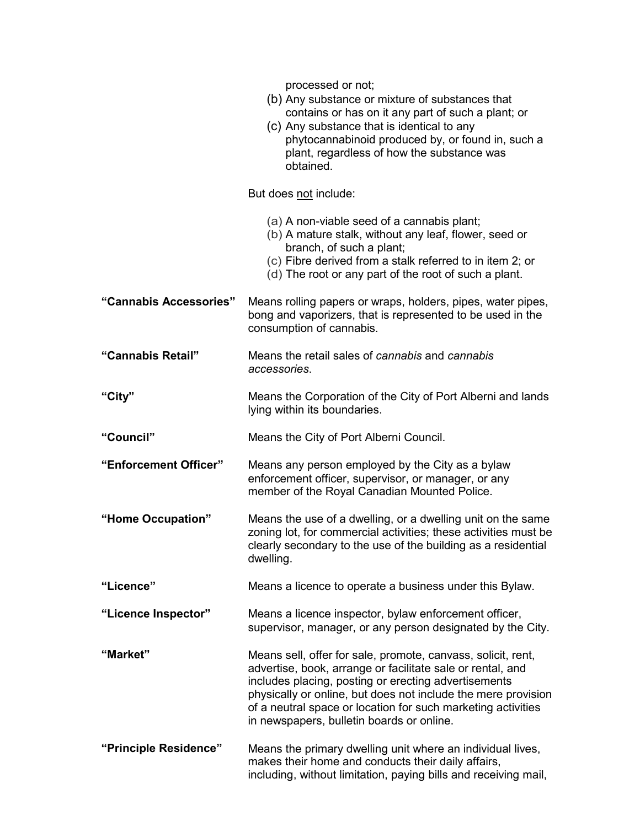|                        | processed or not;<br>(b) Any substance or mixture of substances that<br>contains or has on it any part of such a plant; or<br>(c) Any substance that is identical to any<br>phytocannabinoid produced by, or found in, such a<br>plant, regardless of how the substance was<br>obtained.                                                                         |
|------------------------|------------------------------------------------------------------------------------------------------------------------------------------------------------------------------------------------------------------------------------------------------------------------------------------------------------------------------------------------------------------|
|                        | But does not include:                                                                                                                                                                                                                                                                                                                                            |
|                        | (a) A non-viable seed of a cannabis plant;<br>(b) A mature stalk, without any leaf, flower, seed or<br>branch, of such a plant;<br>(c) Fibre derived from a stalk referred to in item 2; or<br>(d) The root or any part of the root of such a plant.                                                                                                             |
| "Cannabis Accessories" | Means rolling papers or wraps, holders, pipes, water pipes,<br>bong and vaporizers, that is represented to be used in the<br>consumption of cannabis.                                                                                                                                                                                                            |
| "Cannabis Retail"      | Means the retail sales of cannabis and cannabis<br>accessories.                                                                                                                                                                                                                                                                                                  |
| "City"                 | Means the Corporation of the City of Port Alberni and lands<br>lying within its boundaries.                                                                                                                                                                                                                                                                      |
| "Council"              | Means the City of Port Alberni Council.                                                                                                                                                                                                                                                                                                                          |
| "Enforcement Officer"  | Means any person employed by the City as a bylaw<br>enforcement officer, supervisor, or manager, or any<br>member of the Royal Canadian Mounted Police.                                                                                                                                                                                                          |
| "Home Occupation"      | Means the use of a dwelling, or a dwelling unit on the same<br>zoning lot, for commercial activities; these activities must be<br>clearly secondary to the use of the building as a residential<br>dwelling.                                                                                                                                                     |
| "Licence"              | Means a licence to operate a business under this Bylaw.                                                                                                                                                                                                                                                                                                          |
| "Licence Inspector"    | Means a licence inspector, bylaw enforcement officer,<br>supervisor, manager, or any person designated by the City.                                                                                                                                                                                                                                              |
| "Market"               | Means sell, offer for sale, promote, canvass, solicit, rent,<br>advertise, book, arrange or facilitate sale or rental, and<br>includes placing, posting or erecting advertisements<br>physically or online, but does not include the mere provision<br>of a neutral space or location for such marketing activities<br>in newspapers, bulletin boards or online. |
| "Principle Residence"  | Means the primary dwelling unit where an individual lives,<br>makes their home and conducts their daily affairs,<br>including, without limitation, paying bills and receiving mail,                                                                                                                                                                              |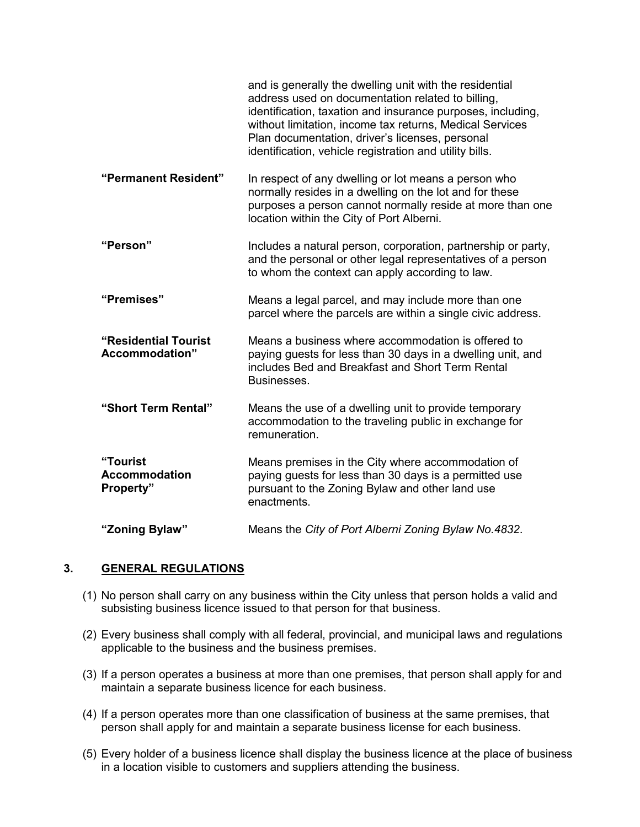|                                                      | and is generally the dwelling unit with the residential<br>address used on documentation related to billing,<br>identification, taxation and insurance purposes, including,<br>without limitation, income tax returns, Medical Services<br>Plan documentation, driver's licenses, personal<br>identification, vehicle registration and utility bills. |
|------------------------------------------------------|-------------------------------------------------------------------------------------------------------------------------------------------------------------------------------------------------------------------------------------------------------------------------------------------------------------------------------------------------------|
| "Permanent Resident"                                 | In respect of any dwelling or lot means a person who<br>normally resides in a dwelling on the lot and for these<br>purposes a person cannot normally reside at more than one<br>location within the City of Port Alberni.                                                                                                                             |
| "Person"                                             | Includes a natural person, corporation, partnership or party,<br>and the personal or other legal representatives of a person<br>to whom the context can apply according to law.                                                                                                                                                                       |
| "Premises"                                           | Means a legal parcel, and may include more than one<br>parcel where the parcels are within a single civic address.                                                                                                                                                                                                                                    |
| "Residential Tourist<br>Accommodation"               | Means a business where accommodation is offered to<br>paying guests for less than 30 days in a dwelling unit, and<br>includes Bed and Breakfast and Short Term Rental<br>Businesses.                                                                                                                                                                  |
| "Short Term Rental"                                  | Means the use of a dwelling unit to provide temporary<br>accommodation to the traveling public in exchange for<br>remuneration.                                                                                                                                                                                                                       |
| "Tourist<br><b>Accommodation</b><br><b>Property"</b> | Means premises in the City where accommodation of<br>paying guests for less than 30 days is a permitted use<br>pursuant to the Zoning Bylaw and other land use<br>enactments.                                                                                                                                                                         |
| "Zoning Bylaw"                                       | Means the City of Port Alberni Zoning Bylaw No.4832.                                                                                                                                                                                                                                                                                                  |

## **3. GENERAL REGULATIONS**

- (1) No person shall carry on any business within the City unless that person holds a valid and subsisting business licence issued to that person for that business.
- (2) Every business shall comply with all federal, provincial, and municipal laws and regulations applicable to the business and the business premises.
- (3) If a person operates a business at more than one premises, that person shall apply for and maintain a separate business licence for each business.
- (4) If a person operates more than one classification of business at the same premises, that person shall apply for and maintain a separate business license for each business.
- (5) Every holder of a business licence shall display the business licence at the place of business in a location visible to customers and suppliers attending the business.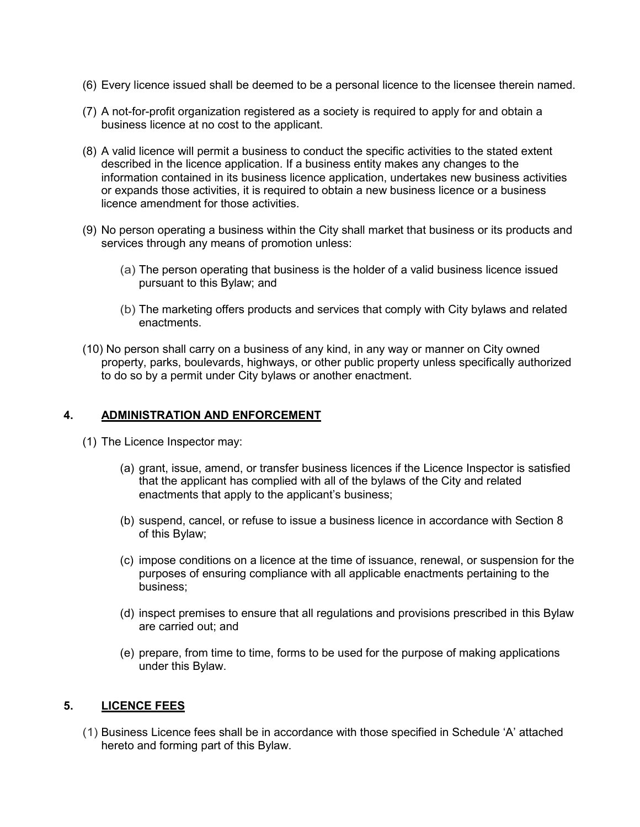- (6) Every licence issued shall be deemed to be a personal licence to the licensee therein named.
- (7) A not-for-profit organization registered as a society is required to apply for and obtain a business licence at no cost to the applicant.
- (8) A valid licence will permit a business to conduct the specific activities to the stated extent described in the licence application. If a business entity makes any changes to the information contained in its business licence application, undertakes new business activities or expands those activities, it is required to obtain a new business licence or a business licence amendment for those activities.
- (9) No person operating a business within the City shall market that business or its products and services through any means of promotion unless:
	- (a) The person operating that business is the holder of a valid business licence issued pursuant to this Bylaw; and
	- (b) The marketing offers products and services that comply with City bylaws and related enactments.
- (10) No person shall carry on a business of any kind, in any way or manner on City owned property, parks, boulevards, highways, or other public property unless specifically authorized to do so by a permit under City bylaws or another enactment.

### **4. ADMINISTRATION AND ENFORCEMENT**

- (1) The Licence Inspector may:
	- (a) grant, issue, amend, or transfer business licences if the Licence Inspector is satisfied that the applicant has complied with all of the bylaws of the City and related enactments that apply to the applicant's business;
	- (b) suspend, cancel, or refuse to issue a business licence in accordance with Section 8 of this Bylaw;
	- (c) impose conditions on a licence at the time of issuance, renewal, or suspension for the purposes of ensuring compliance with all applicable enactments pertaining to the business;
	- (d) inspect premises to ensure that all regulations and provisions prescribed in this Bylaw are carried out; and
	- (e) prepare, from time to time, forms to be used for the purpose of making applications under this Bylaw.

#### **5. LICENCE FEES**

(1) Business Licence fees shall be in accordance with those specified in Schedule 'A' attached hereto and forming part of this Bylaw.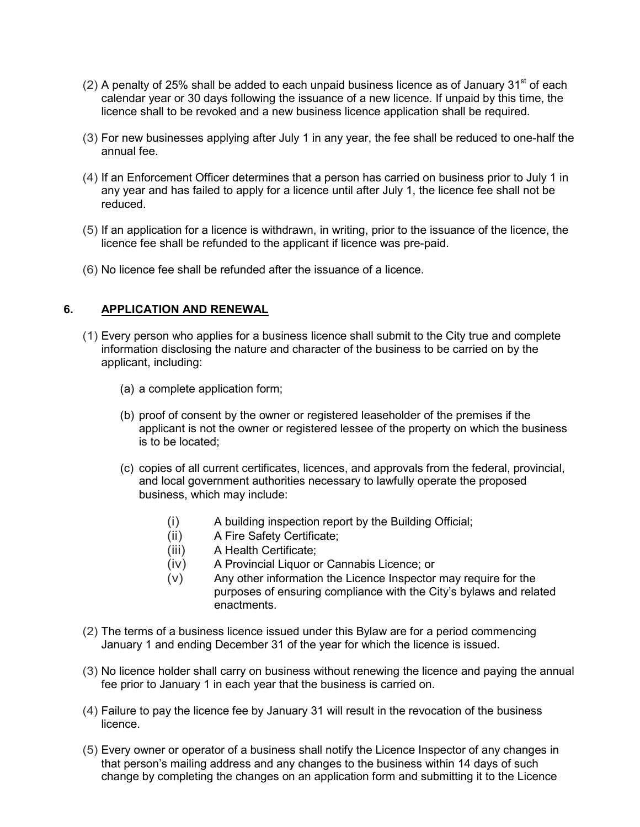- (2) A penalty of 25% shall be added to each unpaid business licence as of January  $31<sup>st</sup>$  of each calendar year or 30 days following the issuance of a new licence. If unpaid by this time, the licence shall to be revoked and a new business licence application shall be required.
- (3) For new businesses applying after July 1 in any year, the fee shall be reduced to one-half the annual fee.
- (4) If an Enforcement Officer determines that a person has carried on business prior to July 1 in any year and has failed to apply for a licence until after July 1, the licence fee shall not be reduced.
- (5) If an application for a licence is withdrawn, in writing, prior to the issuance of the licence, the licence fee shall be refunded to the applicant if licence was pre-paid.
- (6) No licence fee shall be refunded after the issuance of a licence.

## **6. APPLICATION AND RENEWAL**

- (1) Every person who applies for a business licence shall submit to the City true and complete information disclosing the nature and character of the business to be carried on by the applicant, including:
	- (a) a complete application form;
	- (b) proof of consent by the owner or registered leaseholder of the premises if the applicant is not the owner or registered lessee of the property on which the business is to be located;
	- (c) copies of all current certificates, licences, and approvals from the federal, provincial, and local government authorities necessary to lawfully operate the proposed business, which may include:
		- (i) A building inspection report by the Building Official;
		- (ii) A Fire Safety Certificate;
		- (iii) A Health Certificate;
		- (iv) A Provincial Liquor or Cannabis Licence; or
		- (v) Any other information the Licence Inspector may require for the purposes of ensuring compliance with the City's bylaws and related enactments.
- (2) The terms of a business licence issued under this Bylaw are for a period commencing January 1 and ending December 31 of the year for which the licence is issued.
- (3) No licence holder shall carry on business without renewing the licence and paying the annual fee prior to January 1 in each year that the business is carried on.
- (4) Failure to pay the licence fee by January 31 will result in the revocation of the business licence.
- (5) Every owner or operator of a business shall notify the Licence Inspector of any changes in that person's mailing address and any changes to the business within 14 days of such change by completing the changes on an application form and submitting it to the Licence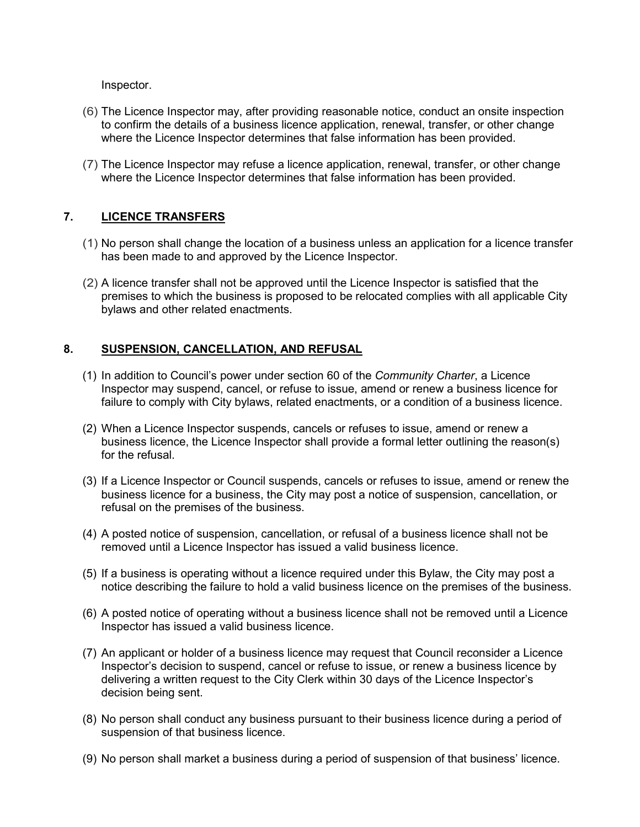Inspector.

- (6) The Licence Inspector may, after providing reasonable notice, conduct an onsite inspection to confirm the details of a business licence application, renewal, transfer, or other change where the Licence Inspector determines that false information has been provided.
- (7) The Licence Inspector may refuse a licence application, renewal, transfer, or other change where the Licence Inspector determines that false information has been provided.

## **7. LICENCE TRANSFERS**

- (1) No person shall change the location of a business unless an application for a licence transfer has been made to and approved by the Licence Inspector.
- (2) A licence transfer shall not be approved until the Licence Inspector is satisfied that the premises to which the business is proposed to be relocated complies with all applicable City bylaws and other related enactments.

# **8. SUSPENSION, CANCELLATION, AND REFUSAL**

- (1) In addition to Council's power under section 60 of the *Community Charter*, a Licence Inspector may suspend, cancel, or refuse to issue, amend or renew a business licence for failure to comply with City bylaws, related enactments, or a condition of a business licence.
- (2) When a Licence Inspector suspends, cancels or refuses to issue, amend or renew a business licence, the Licence Inspector shall provide a formal letter outlining the reason(s) for the refusal.
- (3) If a Licence Inspector or Council suspends, cancels or refuses to issue, amend or renew the business licence for a business, the City may post a notice of suspension, cancellation, or refusal on the premises of the business.
- (4) A posted notice of suspension, cancellation, or refusal of a business licence shall not be removed until a Licence Inspector has issued a valid business licence.
- (5) If a business is operating without a licence required under this Bylaw, the City may post a notice describing the failure to hold a valid business licence on the premises of the business.
- (6) A posted notice of operating without a business licence shall not be removed until a Licence Inspector has issued a valid business licence.
- (7) An applicant or holder of a business licence may request that Council reconsider a Licence Inspector's decision to suspend, cancel or refuse to issue, or renew a business licence by delivering a written request to the City Clerk within 30 days of the Licence Inspector's decision being sent.
- (8) No person shall conduct any business pursuant to their business licence during a period of suspension of that business licence.
- (9) No person shall market a business during a period of suspension of that business' licence.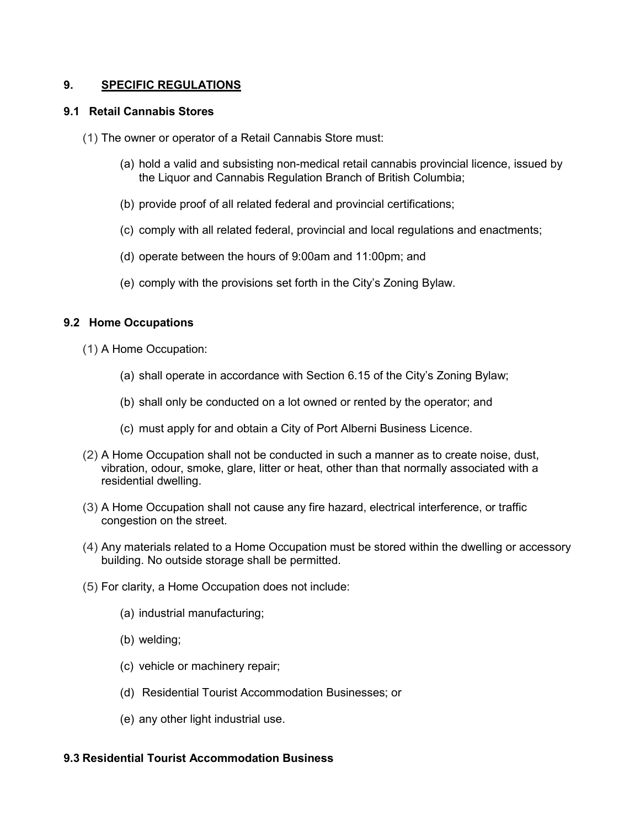## **9. SPECIFIC REGULATIONS**

#### **9.1 Retail Cannabis Stores**

(1) The owner or operator of a Retail Cannabis Store must:

- (a) hold a valid and subsisting non-medical retail cannabis provincial licence, issued by the Liquor and Cannabis Regulation Branch of British Columbia;
- (b) provide proof of all related federal and provincial certifications;
- (c) comply with all related federal, provincial and local regulations and enactments;
- (d) operate between the hours of 9:00am and 11:00pm; and
- (e) comply with the provisions set forth in the City's Zoning Bylaw.

#### **9.2 Home Occupations**

- (1) A Home Occupation:
	- (a) shall operate in accordance with Section 6.15 of the City's Zoning Bylaw;
	- (b) shall only be conducted on a lot owned or rented by the operator; and
	- (c) must apply for and obtain a City of Port Alberni Business Licence.
- (2) A Home Occupation shall not be conducted in such a manner as to create noise, dust, vibration, odour, smoke, glare, litter or heat, other than that normally associated with a residential dwelling.
- (3) A Home Occupation shall not cause any fire hazard, electrical interference, or traffic congestion on the street.
- (4) Any materials related to a Home Occupation must be stored within the dwelling or accessory building. No outside storage shall be permitted.
- (5) For clarity, a Home Occupation does not include:
	- (a) industrial manufacturing;
	- (b) welding;
	- (c) vehicle or machinery repair;
	- (d) Residential Tourist Accommodation Businesses; or
	- (e) any other light industrial use.

#### **9.3 Residential Tourist Accommodation Business**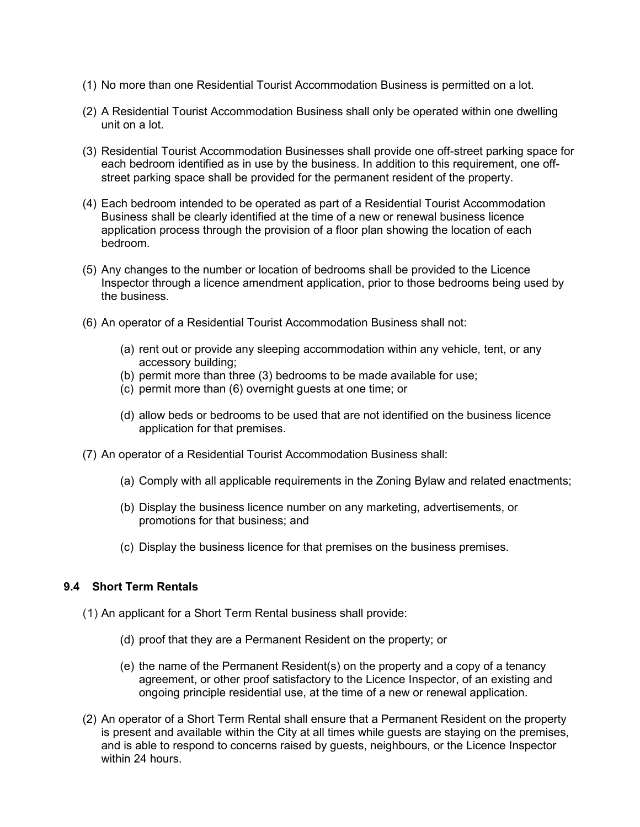- (1) No more than one Residential Tourist Accommodation Business is permitted on a lot.
- (2) A Residential Tourist Accommodation Business shall only be operated within one dwelling unit on a lot.
- (3) Residential Tourist Accommodation Businesses shall provide one off-street parking space for each bedroom identified as in use by the business. In addition to this requirement, one offstreet parking space shall be provided for the permanent resident of the property.
- (4) Each bedroom intended to be operated as part of a Residential Tourist Accommodation Business shall be clearly identified at the time of a new or renewal business licence application process through the provision of a floor plan showing the location of each bedroom.
- (5) Any changes to the number or location of bedrooms shall be provided to the Licence Inspector through a licence amendment application, prior to those bedrooms being used by the business.
- (6) An operator of a Residential Tourist Accommodation Business shall not:
	- (a) rent out or provide any sleeping accommodation within any vehicle, tent, or any accessory building;
	- (b) permit more than three (3) bedrooms to be made available for use;
	- (c) permit more than (6) overnight guests at one time; or
	- (d) allow beds or bedrooms to be used that are not identified on the business licence application for that premises.
- (7) An operator of a Residential Tourist Accommodation Business shall:
	- (a) Comply with all applicable requirements in the Zoning Bylaw and related enactments;
	- (b) Display the business licence number on any marketing, advertisements, or promotions for that business; and
	- (c) Display the business licence for that premises on the business premises.

#### **9.4 Short Term Rentals**

- (1) An applicant for a Short Term Rental business shall provide:
	- (d) proof that they are a Permanent Resident on the property; or
	- (e) the name of the Permanent Resident(s) on the property and a copy of a tenancy agreement, or other proof satisfactory to the Licence Inspector, of an existing and ongoing principle residential use, at the time of a new or renewal application.
- (2) An operator of a Short Term Rental shall ensure that a Permanent Resident on the property is present and available within the City at all times while guests are staying on the premises, and is able to respond to concerns raised by guests, neighbours, or the Licence Inspector within 24 hours.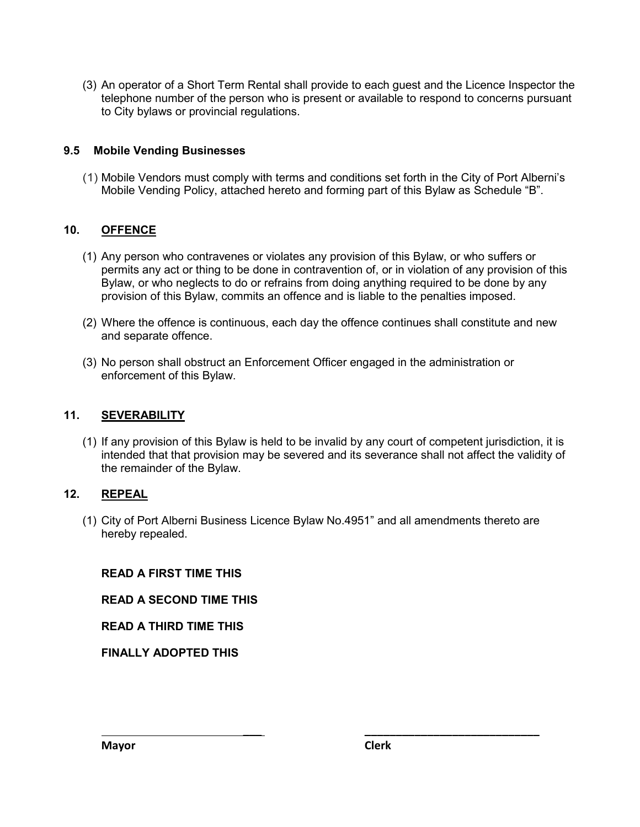(3) An operator of a Short Term Rental shall provide to each guest and the Licence Inspector the telephone number of the person who is present or available to respond to concerns pursuant to City bylaws or provincial regulations.

# **9.5 Mobile Vending Businesses**

(1) Mobile Vendors must comply with terms and conditions set forth in the City of Port Alberni's Mobile Vending Policy, attached hereto and forming part of this Bylaw as Schedule "B".

## **10. OFFENCE**

- (1) Any person who contravenes or violates any provision of this Bylaw, or who suffers or permits any act or thing to be done in contravention of, or in violation of any provision of this Bylaw, or who neglects to do or refrains from doing anything required to be done by any provision of this Bylaw, commits an offence and is liable to the penalties imposed.
- (2) Where the offence is continuous, each day the offence continues shall constitute and new and separate offence.
- (3) No person shall obstruct an Enforcement Officer engaged in the administration or enforcement of this Bylaw.

## **11. SEVERABILITY**

(1) If any provision of this Bylaw is held to be invalid by any court of competent jurisdiction, it is intended that that provision may be severed and its severance shall not affect the validity of the remainder of the Bylaw.

## **12. REPEAL**

(1) City of Port Alberni Business Licence Bylaw No.4951" and all amendments thereto are hereby repealed.

 **\_\_\_ \_\_\_\_\_\_\_\_\_\_\_\_\_\_\_\_\_\_\_\_\_\_\_\_\_\_\_\_**

## **READ A FIRST TIME THIS**

**READ A SECOND TIME THIS** 

**READ A THIRD TIME THIS**

**FINALLY ADOPTED THIS**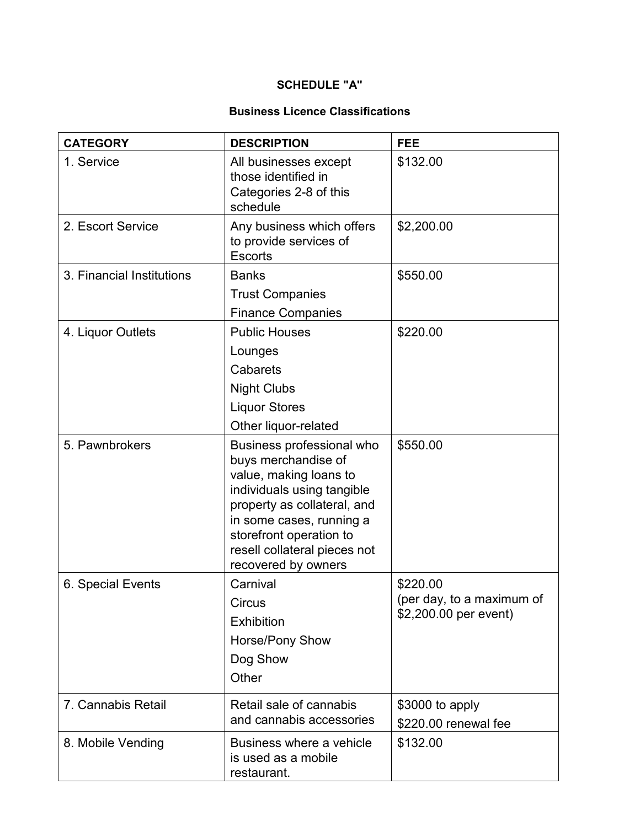# **SCHEDULE "A"**

# **Business Licence Classifications**

| <b>CATEGORY</b>           | <b>DESCRIPTION</b>                                                                                                                                                                                                                                    | <b>FEE</b>                                                     |
|---------------------------|-------------------------------------------------------------------------------------------------------------------------------------------------------------------------------------------------------------------------------------------------------|----------------------------------------------------------------|
| 1. Service                | All businesses except<br>those identified in<br>Categories 2-8 of this<br>schedule                                                                                                                                                                    | \$132.00                                                       |
| 2. Escort Service         | Any business which offers<br>to provide services of<br><b>Escorts</b>                                                                                                                                                                                 | \$2,200.00                                                     |
| 3. Financial Institutions | <b>Banks</b>                                                                                                                                                                                                                                          | \$550.00                                                       |
|                           | <b>Trust Companies</b><br><b>Finance Companies</b>                                                                                                                                                                                                    |                                                                |
| 4. Liquor Outlets         | <b>Public Houses</b><br>Lounges<br>Cabarets<br><b>Night Clubs</b><br><b>Liquor Stores</b><br>Other liquor-related                                                                                                                                     | \$220.00                                                       |
| 5. Pawnbrokers            | Business professional who<br>buys merchandise of<br>value, making loans to<br>individuals using tangible<br>property as collateral, and<br>in some cases, running a<br>storefront operation to<br>resell collateral pieces not<br>recovered by owners | \$550.00                                                       |
| 6. Special Events         | Carnival<br><b>Circus</b><br><b>Exhibition</b><br>Horse/Pony Show<br>Dog Show<br>Other                                                                                                                                                                | \$220.00<br>(per day, to a maximum of<br>\$2,200.00 per event) |
| 7. Cannabis Retail        | Retail sale of cannabis<br>and cannabis accessories                                                                                                                                                                                                   | \$3000 to apply<br>\$220.00 renewal fee                        |
| 8. Mobile Vending         | Business where a vehicle<br>is used as a mobile<br>restaurant.                                                                                                                                                                                        | \$132.00                                                       |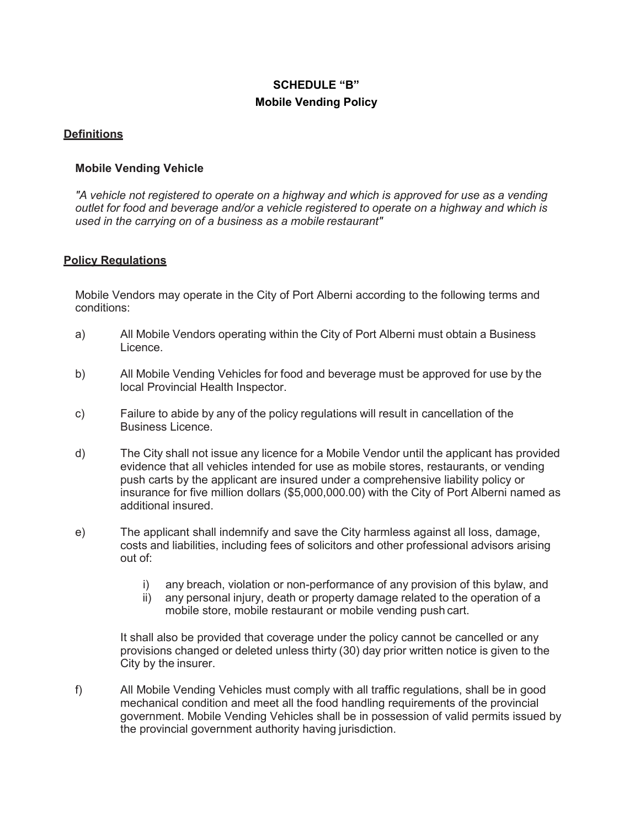# **SCHEDULE "B" Mobile Vending Policy**

# **Definitions**

## **Mobile Vending Vehicle**

*"A vehicle not registered to operate on a highway and which is approved for use as a vending outlet for food and beverage and/or a vehicle registered to operate on a highway and which is used in the carrying on of a business as a mobile restaurant"*

## **Policy Regulations**

Mobile Vendors may operate in the City of Port Alberni according to the following terms and conditions:

- a) All Mobile Vendors operating within the City of Port Alberni must obtain a Business Licence.
- b) All Mobile Vending Vehicles for food and beverage must be approved for use by the local Provincial Health Inspector.
- c) Failure to abide by any of the policy regulations will result in cancellation of the Business Licence.
- d) The City shall not issue any licence for a Mobile Vendor until the applicant has provided evidence that all vehicles intended for use as mobile stores, restaurants, or vending push carts by the applicant are insured under a comprehensive liability policy or insurance for five million dollars (\$5,000,000.00) with the City of Port Alberni named as additional insured.
- e) The applicant shall indemnify and save the City harmless against all loss, damage, costs and liabilities, including fees of solicitors and other professional advisors arising out of:
	- i) any breach, violation or non-performance of any provision of this bylaw, and
	- ii) any personal injury, death or property damage related to the operation of a mobile store, mobile restaurant or mobile vending push cart.

It shall also be provided that coverage under the policy cannot be cancelled or any provisions changed or deleted unless thirty (30) day prior written notice is given to the City by the insurer.

f) All Mobile Vending Vehicles must comply with all traffic regulations, shall be in good mechanical condition and meet all the food handling requirements of the provincial government. Mobile Vending Vehicles shall be in possession of valid permits issued by the provincial government authority having jurisdiction.